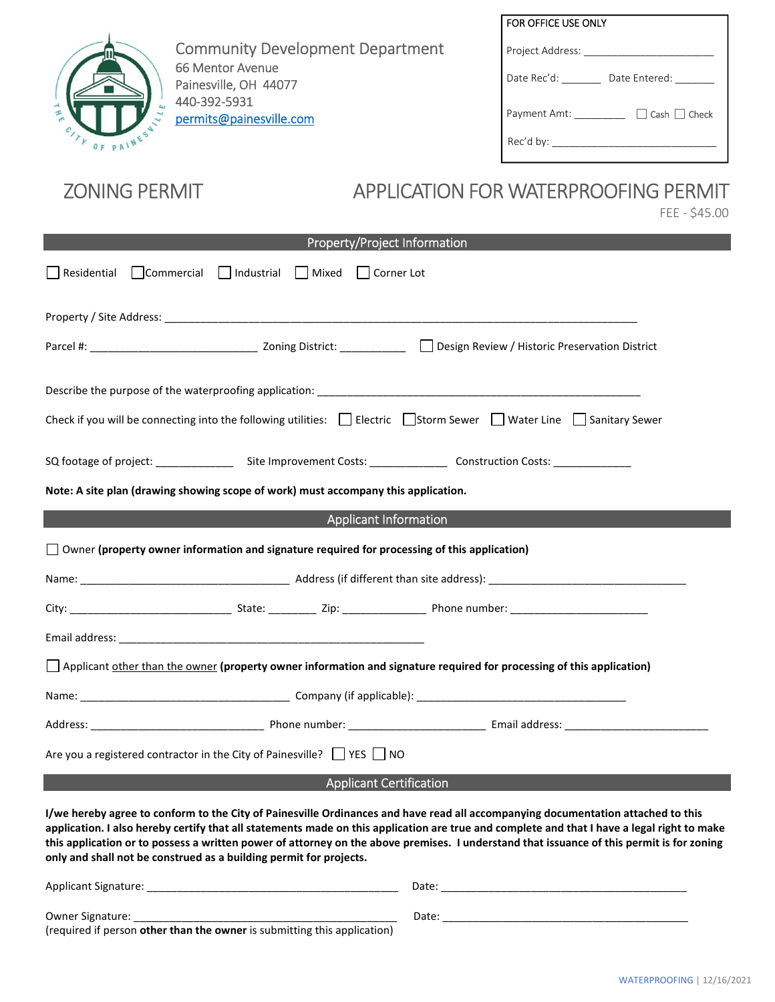

Community Development Department 66 Mentor Avenue Painesville, OH 44077 440-392-5931 permits@painesville.com

| FOR OFFICE USE ONLY                      |
|------------------------------------------|
| Project Address:                         |
| Date Rec'd:<br>Date Entered:             |
| $\Box$ Cash $\Box$ Check<br>Payment Amt: |
| Rec'd by:                                |

## ZONING PERMIT APPLICATION FOR WATERPROOFING PERMIT

FEE - \$45.00

| Property/Project Information                                                                                                                                                                                                                                                                                                                                                                                                                                                                       |  |  |  |
|----------------------------------------------------------------------------------------------------------------------------------------------------------------------------------------------------------------------------------------------------------------------------------------------------------------------------------------------------------------------------------------------------------------------------------------------------------------------------------------------------|--|--|--|
| $\Box$ Commercial $\Box$ Industrial $\Box$ Mixed<br>□ Corner Lot<br>Residential                                                                                                                                                                                                                                                                                                                                                                                                                    |  |  |  |
|                                                                                                                                                                                                                                                                                                                                                                                                                                                                                                    |  |  |  |
|                                                                                                                                                                                                                                                                                                                                                                                                                                                                                                    |  |  |  |
|                                                                                                                                                                                                                                                                                                                                                                                                                                                                                                    |  |  |  |
| Check if you will be connecting into the following utilities:<br>$\Box$ Electric $\Box$ Storm Sewer $\Box$ Water Line $\Box$ Sanitary Sewer                                                                                                                                                                                                                                                                                                                                                        |  |  |  |
|                                                                                                                                                                                                                                                                                                                                                                                                                                                                                                    |  |  |  |
| Note: A site plan (drawing showing scope of work) must accompany this application.                                                                                                                                                                                                                                                                                                                                                                                                                 |  |  |  |
| <b>Applicant Information</b>                                                                                                                                                                                                                                                                                                                                                                                                                                                                       |  |  |  |
| $\Box$ Owner (property owner information and signature required for processing of this application)                                                                                                                                                                                                                                                                                                                                                                                                |  |  |  |
|                                                                                                                                                                                                                                                                                                                                                                                                                                                                                                    |  |  |  |
|                                                                                                                                                                                                                                                                                                                                                                                                                                                                                                    |  |  |  |
|                                                                                                                                                                                                                                                                                                                                                                                                                                                                                                    |  |  |  |
| Applicant other than the owner (property owner information and signature required for processing of this application)                                                                                                                                                                                                                                                                                                                                                                              |  |  |  |
|                                                                                                                                                                                                                                                                                                                                                                                                                                                                                                    |  |  |  |
|                                                                                                                                                                                                                                                                                                                                                                                                                                                                                                    |  |  |  |
| Are you a registered contractor in the City of Painesville? $\Box$ YES $\Box$ NO                                                                                                                                                                                                                                                                                                                                                                                                                   |  |  |  |
| <b>Applicant Certification</b>                                                                                                                                                                                                                                                                                                                                                                                                                                                                     |  |  |  |
| I/we hereby agree to conform to the City of Painesville Ordinances and have read all accompanying documentation attached to this<br>application. I also hereby certify that all statements made on this application are true and complete and that I have a legal right to make<br>this application or to possess a written power of attorney on the above premises. I understand that issuance of this permit is for zoning<br>only and shall not be construed as a building permit for projects. |  |  |  |

| Applicant Signature:                                                     | Date  |
|--------------------------------------------------------------------------|-------|
|                                                                          |       |
| Owner Signature:                                                         | Date: |
| (required if person other than the owner is submitting this application) |       |